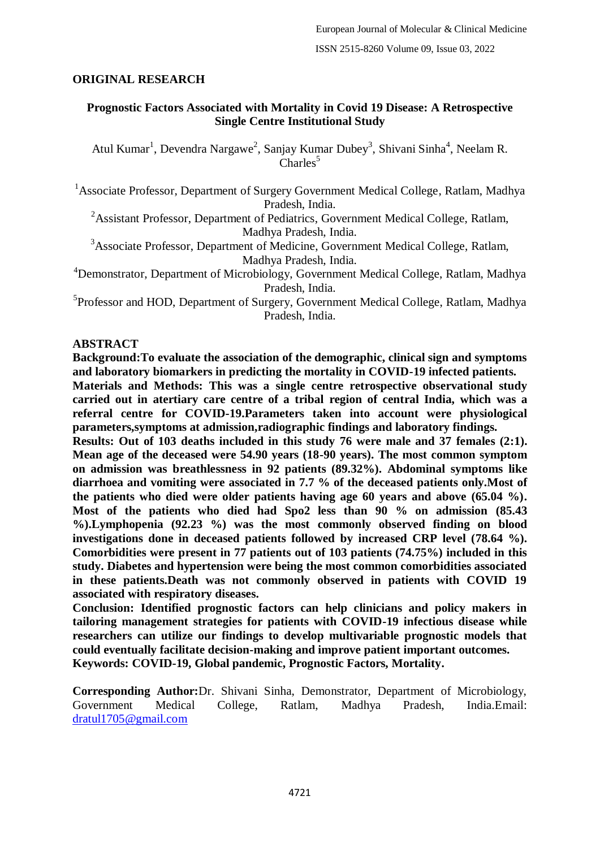## **ORIGINAL RESEARCH**

## **Prognostic Factors Associated with Mortality in Covid 19 Disease: A Retrospective Single Centre Institutional Study**

Atul Kumar<sup>1</sup>, Devendra Nargawe<sup>2</sup>, Sanjay Kumar Dubey<sup>3</sup>, Shivani Sinha<sup>4</sup>, Neelam R.  $Charles<sup>5</sup>$ 

<sup>1</sup> Associate Professor, Department of Surgery Government Medical College, Ratlam, Madhya Pradesh, India.

<sup>2</sup>Assistant Professor, Department of Pediatrics, Government Medical College, Ratlam, Madhya Pradesh, India.

<sup>3</sup>Associate Professor, Department of Medicine, Government Medical College, Ratlam, Madhya Pradesh, India.

<sup>4</sup>Demonstrator, Department of Microbiology, Government Medical College, Ratlam, Madhya Pradesh, India.

<sup>5</sup>Professor and HOD, Department of Surgery, Government Medical College, Ratlam, Madhya Pradesh, India.

### **ABSTRACT**

**Background:To evaluate the association of the demographic, clinical sign and symptoms and laboratory biomarkers in predicting the mortality in COVID-19 infected patients.**

**Materials and Methods: This was a single centre retrospective observational study carried out in atertiary care centre of a tribal region of central India, which was a referral centre for COVID-19.Parameters taken into account were physiological parameters,symptoms at admission,radiographic findings and laboratory findings.**

**Results: Out of 103 deaths included in this study 76 were male and 37 females (2:1). Mean age of the deceased were 54.90 years (18-90 years). The most common symptom on admission was breathlessness in 92 patients (89.32%). Abdominal symptoms like diarrhoea and vomiting were associated in 7.7 % of the deceased patients only.Most of the patients who died were older patients having age 60 years and above (65.04 %). Most of the patients who died had Spo2 less than 90 % on admission (85.43 %).Lymphopenia (92.23 %) was the most commonly observed finding on blood investigations done in deceased patients followed by increased CRP level (78.64 %). Comorbidities were present in 77 patients out of 103 patients (74.75%) included in this study. Diabetes and hypertension were being the most common comorbidities associated in these patients.Death was not commonly observed in patients with COVID 19 associated with respiratory diseases.**

**Conclusion: Identified prognostic factors can help clinicians and policy makers in tailoring management strategies for patients with COVID-19 infectious disease while researchers can utilize our findings to develop multivariable prognostic models that could eventually facilitate decision-making and improve patient important outcomes. Keywords: COVID-19, Global pandemic, Prognostic Factors, Mortality.**

**Corresponding Author:**Dr. Shivani Sinha, Demonstrator, Department of Microbiology, Government Medical College, Ratlam, Madhya Pradesh, India.Email: [dratul1705@gmail.com](mailto:dratul1705@gmail.com)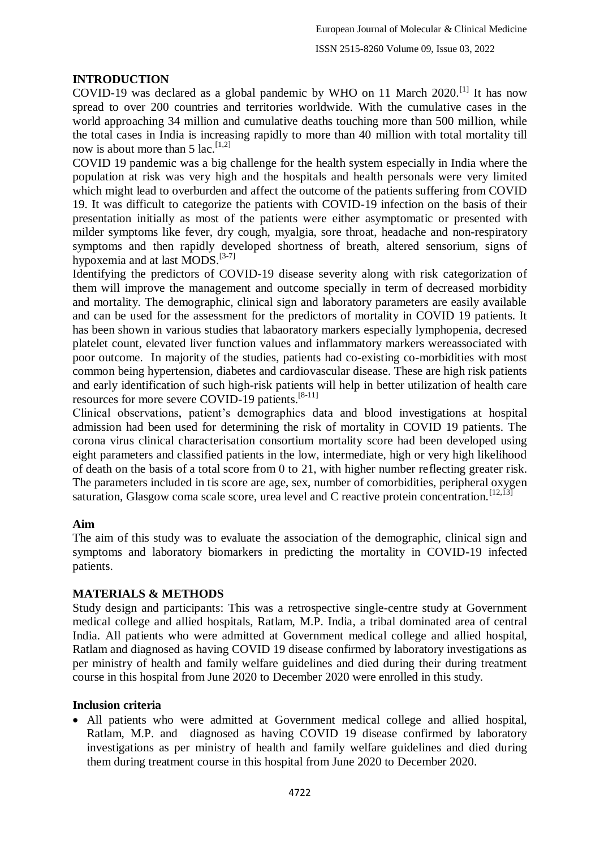## **INTRODUCTION**

COVID-19 was declared as a global pandemic by WHO on 11 March  $2020$ .<sup>[1]</sup> It has now spread to over 200 countries and territories worldwide. With the cumulative cases in the world approaching 34 million and cumulative deaths touching more than 500 million, while the total cases in India is increasing rapidly to more than 40 million with total mortality till now is about more than 5 lac.  $[1,2]$ 

COVID 19 pandemic was a big challenge for the health system especially in India where the population at risk was very high and the hospitals and health personals were very limited which might lead to overburden and affect the outcome of the patients suffering from COVID 19. It was difficult to categorize the patients with COVID-19 infection on the basis of their presentation initially as most of the patients were either asymptomatic or presented with milder symptoms like fever, dry cough, myalgia, sore throat, headache and non-respiratory symptoms and then rapidly developed shortness of breath, altered sensorium, signs of hypoxemia and at last MODS.<sup>[3-7]</sup>

Identifying the predictors of COVID-19 disease severity along with risk categorization of them will improve the management and outcome specially in term of decreased morbidity and mortality. The demographic, clinical sign and laboratory parameters are easily available and can be used for the assessment for the predictors of mortality in COVID 19 patients. It has been shown in various studies that labaoratory markers especially lymphopenia, decresed platelet count, elevated liver function values and inflammatory markers wereassociated with poor outcome. In majority of the studies, patients had co-existing co-morbidities with most common being hypertension, diabetes and cardiovascular disease. These are high risk patients and early identification of such high-risk patients will help in better utilization of health care resources for more severe COVID-19 patients.[8-11]

Clinical observations, patient's demographics data and blood investigations at hospital admission had been used for determining the risk of mortality in COVID 19 patients. The corona virus clinical characterisation consortium mortality score had been developed using eight parameters and classified patients in the low, intermediate, high or very high likelihood of death on the basis of a total score from 0 to 21, with higher number reflecting greater risk. The parameters included in tis score are age, sex, number of comorbidities, peripheral oxygen saturation, Glasgow coma scale score, urea level and C reactive protein concentration.<sup>[12,13]</sup>

## **Aim**

The aim of this study was to evaluate the association of the demographic, clinical sign and symptoms and laboratory biomarkers in predicting the mortality in COVID-19 infected patients.

## **MATERIALS & METHODS**

Study design and participants: This was a retrospective single-centre study at Government medical college and allied hospitals, Ratlam, M.P. India, a tribal dominated area of central India. All patients who were admitted at Government medical college and allied hospital, Ratlam and diagnosed as having COVID 19 disease confirmed by laboratory investigations as per ministry of health and family welfare guidelines and died during their during treatment course in this hospital from June 2020 to December 2020 were enrolled in this study.

## **Inclusion criteria**

 All patients who were admitted at Government medical college and allied hospital, Ratlam, M.P. and diagnosed as having COVID 19 disease confirmed by laboratory investigations as per ministry of health and family welfare guidelines and died during them during treatment course in this hospital from June 2020 to December 2020.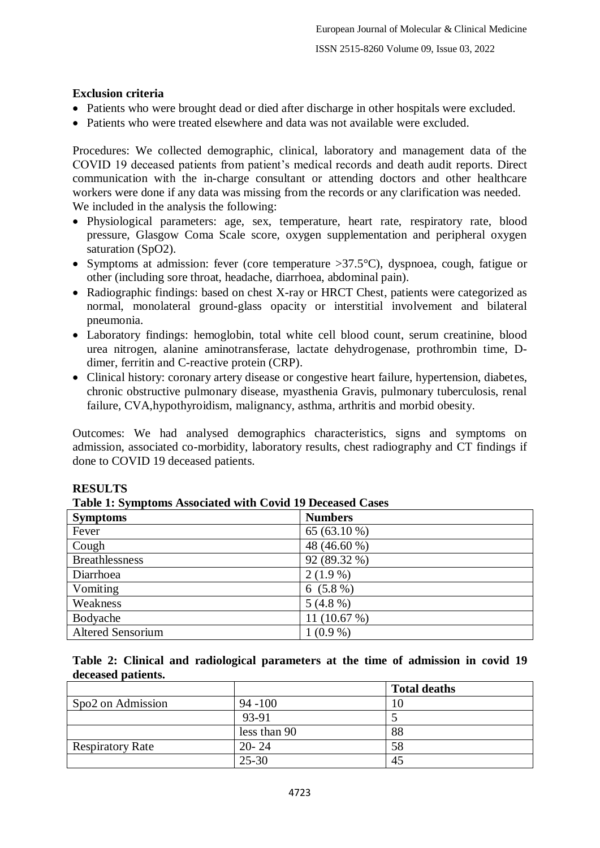## **Exclusion criteria**

- Patients who were brought dead or died after discharge in other hospitals were excluded.
- Patients who were treated elsewhere and data was not available were excluded.

Procedures: We collected demographic, clinical, laboratory and management data of the COVID 19 deceased patients from patient's medical records and death audit reports. Direct communication with the in-charge consultant or attending doctors and other healthcare workers were done if any data was missing from the records or any clarification was needed. We included in the analysis the following:

- Physiological parameters: age, sex, temperature, heart rate, respiratory rate, blood pressure, Glasgow Coma Scale score, oxygen supplementation and peripheral oxygen saturation (SpO2).
- Symptoms at admission: fever (core temperature  $>37.5^{\circ}$ C), dyspnoea, cough, fatigue or other (including sore throat, headache, diarrhoea, abdominal pain).
- Radiographic findings: based on chest X-ray or HRCT Chest, patients were categorized as normal, monolateral ground-glass opacity or interstitial involvement and bilateral pneumonia.
- Laboratory findings: hemoglobin, total white cell blood count, serum creatinine, blood urea nitrogen, alanine aminotransferase, lactate dehydrogenase, prothrombin time, Ddimer, ferritin and C-reactive protein (CRP).
- Clinical history: coronary artery disease or congestive heart failure, hypertension, diabetes, chronic obstructive pulmonary disease, myasthenia Gravis, pulmonary tuberculosis, renal failure, CVA,hypothyroidism, malignancy, asthma, arthritis and morbid obesity.

Outcomes: We had analysed demographics characteristics, signs and symptoms on admission, associated co-morbidity, laboratory results, chest radiography and CT findings if done to COVID 19 deceased patients.

| Table 1: Symptoms Associated with Covid 19 Deceased Cases |                |  |
|-----------------------------------------------------------|----------------|--|
| <b>Symptoms</b>                                           | <b>Numbers</b> |  |
| Fever                                                     | 65 $(63.10\%)$ |  |
| Cough                                                     | 48 (46.60 %)   |  |
| <b>Breathlessness</b>                                     | 92 (89.32 %)   |  |
| Diarrhoea                                                 | $2(1.9\%)$     |  |
| Vomiting                                                  | $6(5.8\%)$     |  |
| Weakness                                                  | $5(4.8\%)$     |  |
| Bodyache                                                  | 11 $(10.67%)$  |  |
| <b>Altered Sensorium</b>                                  | $1(0.9\%)$     |  |

## **RESULTS**

|  |  |  |  | Table 1: Symptoms Associated with Covid 19 Deceased Cases |  |  |  |  |  |
|--|--|--|--|-----------------------------------------------------------|--|--|--|--|--|
|--|--|--|--|-----------------------------------------------------------|--|--|--|--|--|

**Table 2: Clinical and radiological parameters at the time of admission in covid 19 deceased patients.**

|                         |              | <b>Total deaths</b> |
|-------------------------|--------------|---------------------|
| Spo2 on Admission       | $94 - 100$   |                     |
|                         | 93-91        |                     |
|                         | less than 90 | 88                  |
| <b>Respiratory Rate</b> | $20 - 24$    | 58                  |
|                         | $25 - 30$    | 45                  |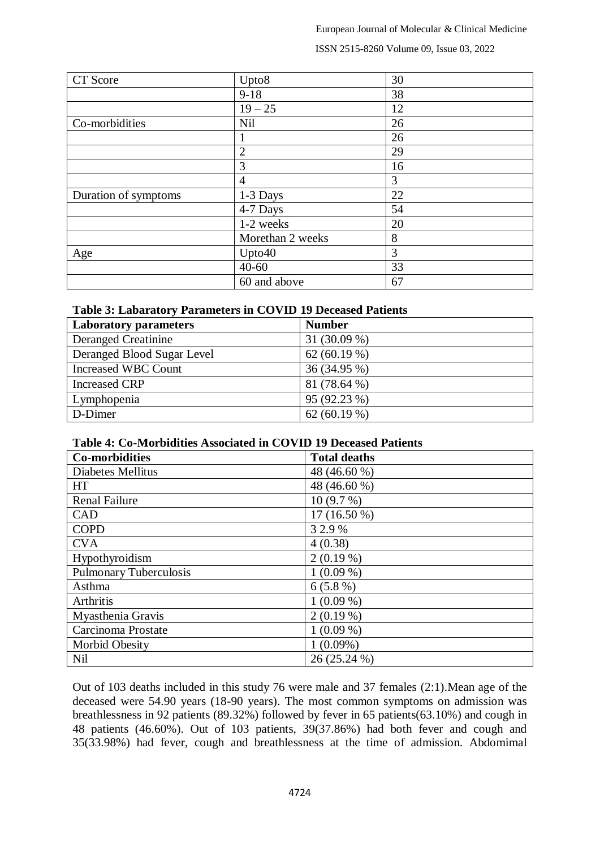#### ISSN 2515-8260 Volume 09, Issue 03, 2022

| CT Score             | Upto8            | 30 |
|----------------------|------------------|----|
|                      | $9-18$           | 38 |
|                      | $19 - 25$        | 12 |
| Co-morbidities       | Nil              | 26 |
|                      | 1                | 26 |
|                      | $\overline{2}$   | 29 |
|                      | 3                | 16 |
|                      | 4                | 3  |
| Duration of symptoms | 1-3 Days         | 22 |
|                      | 4-7 Days         | 54 |
|                      | 1-2 weeks        | 20 |
|                      | Morethan 2 weeks | 8  |
| Age                  | Upto40           | 3  |
|                      | $40 - 60$        | 33 |
|                      | 60 and above     | 67 |

### **Table 3: Labaratory Parameters in COVID 19 Deceased Patients**

| <b>Laboratory parameters</b> | <b>Number</b>  |
|------------------------------|----------------|
| <b>Deranged Creatinine</b>   | 31 (30.09 %)   |
| Deranged Blood Sugar Level   | 62 $(60.19\%)$ |
| <b>Increased WBC Count</b>   | 36 (34.95 %)   |
| <b>Increased CRP</b>         | 81 (78.64 %)   |
| Lymphopenia                  | 95 (92.23 %)   |
| D-Dimer                      | 62 $(60.19\%)$ |

### **Table 4: Co-Morbidities Associated in COVID 19 Deceased Patients**

| <b>Co-morbidities</b>         | <b>Total deaths</b> |
|-------------------------------|---------------------|
| <b>Diabetes Mellitus</b>      | 48 (46.60 %)        |
| <b>HT</b>                     | 48 (46.60 %)        |
| <b>Renal Failure</b>          | 10(9.7%)            |
| <b>CAD</b>                    | $17(16.50\%)$       |
| <b>COPD</b>                   | 3 2.9 %             |
| <b>CVA</b>                    | 4(0.38)             |
| Hypothyroidism                | $2(0.19\%)$         |
| <b>Pulmonary Tuberculosis</b> | $1(0.09\%)$         |
| Asthma                        | $6(5.8\%)$          |
| Arthritis                     | $1(0.09\%)$         |
| Myasthenia Gravis             | $2(0.19\%)$         |
| Carcinoma Prostate            | $1(0.09\%)$         |
| <b>Morbid Obesity</b>         | $1(0.09\%)$         |
| Nil                           | 26 (25.24 %)        |

Out of 103 deaths included in this study 76 were male and 37 females (2:1).Mean age of the deceased were 54.90 years (18-90 years). The most common symptoms on admission was breathlessness in 92 patients (89.32%) followed by fever in 65 patients(63.10%) and cough in 48 patients (46.60%). Out of 103 patients, 39(37.86%) had both fever and cough and 35(33.98%) had fever, cough and breathlessness at the time of admission. Abdomimal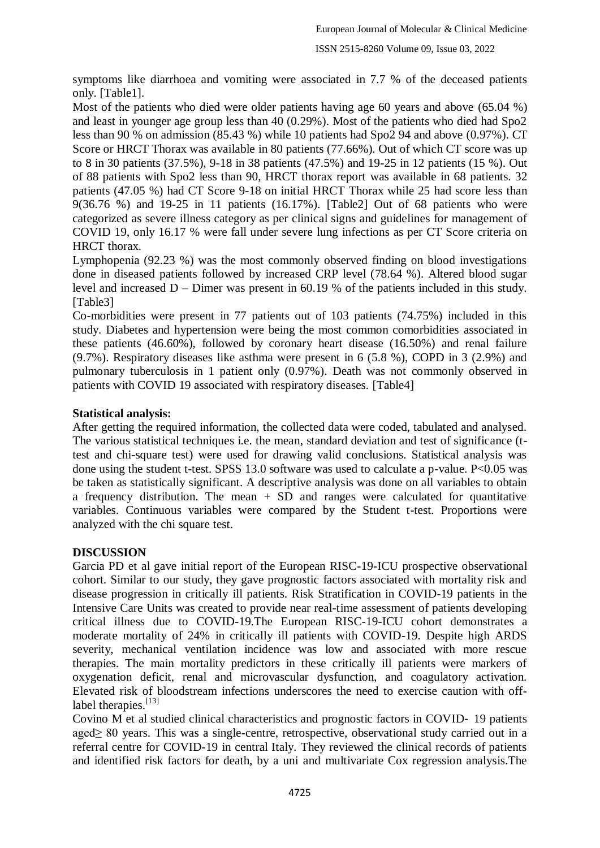symptoms like diarrhoea and vomiting were associated in 7.7 % of the deceased patients only. [Table1].

Most of the patients who died were older patients having age 60 years and above (65.04 %) and least in younger age group less than 40 (0.29%). Most of the patients who died had Spo2 less than 90 % on admission (85.43 %) while 10 patients had Spo2 94 and above (0.97%). CT Score or HRCT Thorax was available in 80 patients (77.66%). Out of which CT score was up to 8 in 30 patients (37.5%), 9-18 in 38 patients (47.5%) and 19-25 in 12 patients (15 %). Out of 88 patients with Spo2 less than 90, HRCT thorax report was available in 68 patients. 32 patients (47.05 %) had CT Score 9-18 on initial HRCT Thorax while 25 had score less than 9(36.76 %) and 19-25 in 11 patients (16.17%). [Table2] Out of 68 patients who were categorized as severe illness category as per clinical signs and guidelines for management of COVID 19, only 16.17 % were fall under severe lung infections as per CT Score criteria on HRCT thorax.

Lymphopenia (92.23 %) was the most commonly observed finding on blood investigations done in diseased patients followed by increased CRP level (78.64 %). Altered blood sugar level and increased D – Dimer was present in 60.19 % of the patients included in this study. [Table3]

Co-morbidities were present in 77 patients out of 103 patients (74.75%) included in this study. Diabetes and hypertension were being the most common comorbidities associated in these patients (46.60%), followed by coronary heart disease (16.50%) and renal failure (9.7%). Respiratory diseases like asthma were present in 6 (5.8 %), COPD in 3 (2.9%) and pulmonary tuberculosis in 1 patient only (0.97%). Death was not commonly observed in patients with COVID 19 associated with respiratory diseases. [Table4]

## **Statistical analysis:**

After getting the required information, the collected data were coded, tabulated and analysed. The various statistical techniques i.e. the mean, standard deviation and test of significance (ttest and chi-square test) were used for drawing valid conclusions. Statistical analysis was done using the student t-test. SPSS 13.0 software was used to calculate a p-value. P<0.05 was be taken as statistically significant. A descriptive analysis was done on all variables to obtain a frequency distribution. The mean  $+$  SD and ranges were calculated for quantitative variables. Continuous variables were compared by the Student t-test. Proportions were analyzed with the chi square test.

## **DISCUSSION**

Garcia PD et al gave initial report of the European RISC-19-ICU prospective observational cohort. Similar to our study, they gave prognostic factors associated with mortality risk and disease progression in critically ill patients. Risk Stratification in COVID-19 patients in the Intensive Care Units was created to provide near real-time assessment of patients developing critical illness due to COVID-19.The European RISC-19-ICU cohort demonstrates a moderate mortality of 24% in critically ill patients with COVID-19. Despite high ARDS severity, mechanical ventilation incidence was low and associated with more rescue therapies. The main mortality predictors in these critically ill patients were markers of oxygenation deficit, renal and microvascular dysfunction, and coagulatory activation. Elevated risk of bloodstream infections underscores the need to exercise caution with offlabel therapies.<sup>[13]</sup>

Covino M et al studied clinical characteristics and prognostic factors in COVID‐ 19 patients aged≥ 80 years. This was a single-centre, retrospective, observational study carried out in a referral centre for COVID-19 in central Italy. They reviewed the clinical records of patients and identified risk factors for death, by a uni and multivariate Cox regression analysis.The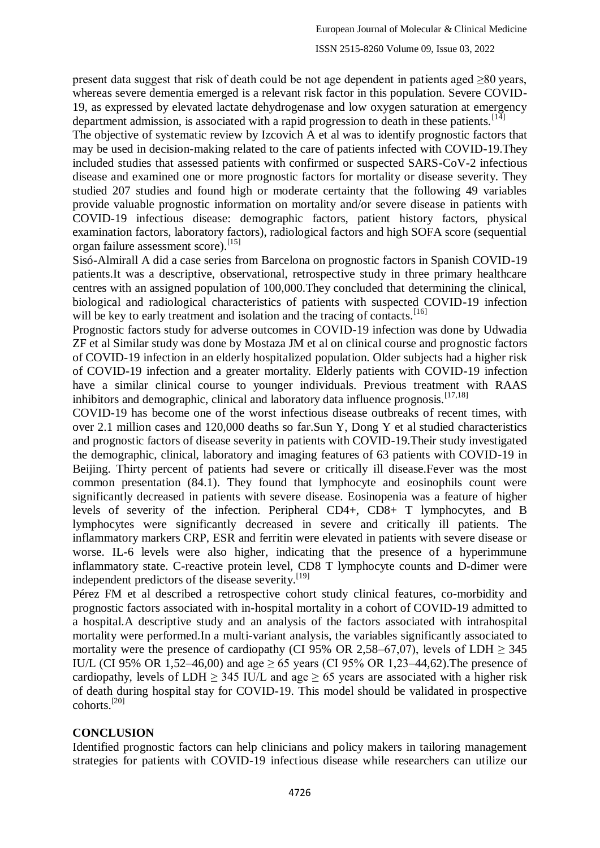present data suggest that risk of death could be not age dependent in patients aged  $\geq 80$  years, whereas severe dementia emerged is a relevant risk factor in this population. Severe COVID-19, as expressed by elevated lactate dehydrogenase and low oxygen saturation at emergency department admission, is associated with a rapid progression to death in these patients.  $[14]$ 

The objective of systematic review by Izcovich A et al was to identify prognostic factors that may be used in decision-making related to the care of patients infected with COVID-19.They included studies that assessed patients with confirmed or suspected SARS-CoV-2 infectious disease and examined one or more prognostic factors for mortality or disease severity. They studied 207 studies and found high or moderate certainty that the following 49 variables provide valuable prognostic information on mortality and/or severe disease in patients with COVID-19 infectious disease: demographic factors, patient history factors, physical examination factors, laboratory factors), radiological factors and high SOFA score (sequential organ failure assessment score).<sup>[15]</sup>

Sisó-Almirall A did a case series from Barcelona on prognostic factors in Spanish COVID-19 patients.It was a descriptive, observational, retrospective study in three primary healthcare centres with an assigned population of 100,000.They concluded that determining the clinical, biological and radiological characteristics of patients with suspected COVID-19 infection will be key to early treatment and isolation and the tracing of contacts.<sup>[16]</sup>

Prognostic factors study for adverse outcomes in COVID-19 infection was done by Udwadia ZF et al Similar study was done by Mostaza JM et al on clinical course and prognostic factors of COVID-19 infection in an elderly hospitalized population. Older subjects had a higher risk of COVID-19 infection and a greater mortality. Elderly patients with COVID-19 infection have a similar clinical course to younger individuals. Previous treatment with RAAS inhibitors and demographic, clinical and laboratory data influence prognosis.<sup>[17,18]</sup>

COVID-19 has become one of the worst infectious disease outbreaks of recent times, with over 2.1 million cases and 120,000 deaths so far.Sun Y, Dong Y et al studied characteristics and prognostic factors of disease severity in patients with COVID-19.Their study investigated the demographic, clinical, laboratory and imaging features of 63 patients with COVID-19 in Beijing. Thirty percent of patients had severe or critically ill disease.Fever was the most common presentation (84.1). They found that lymphocyte and eosinophils count were significantly decreased in patients with severe disease. Eosinopenia was a feature of higher levels of severity of the infection. Peripheral CD4+, CD8+ T lymphocytes, and B lymphocytes were significantly decreased in severe and critically ill patients. The inflammatory markers CRP, ESR and ferritin were elevated in patients with severe disease or worse. IL-6 levels were also higher, indicating that the presence of a hyperimmune inflammatory state. C-reactive protein level, CD8 T lymphocyte counts and D-dimer were independent predictors of the disease severity.<sup>[19]</sup>

Pérez FM et al described a retrospective cohort study clinical features, co-morbidity and prognostic factors associated with in-hospital mortality in a cohort of COVID-19 admitted to a hospital.A descriptive study and an analysis of the factors associated with intrahospital mortality were performed.In a multi-variant analysis, the variables significantly associated to mortality were the presence of cardiopathy (CI 95% OR 2,58–67,07), levels of LDH  $\geq$  345 IU/L (CI 95% OR 1,52–46,00) and age  $> 65$  years (CI 95% OR 1,23–44,62). The presence of cardiopathy, levels of LDH  $\geq$  345 IU/L and age  $\geq$  65 years are associated with a higher risk of death during hospital stay for COVID-19. This model should be validated in prospective cohorts.[20]

# **CONCLUSION**

Identified prognostic factors can help clinicians and policy makers in tailoring management strategies for patients with COVID-19 infectious disease while researchers can utilize our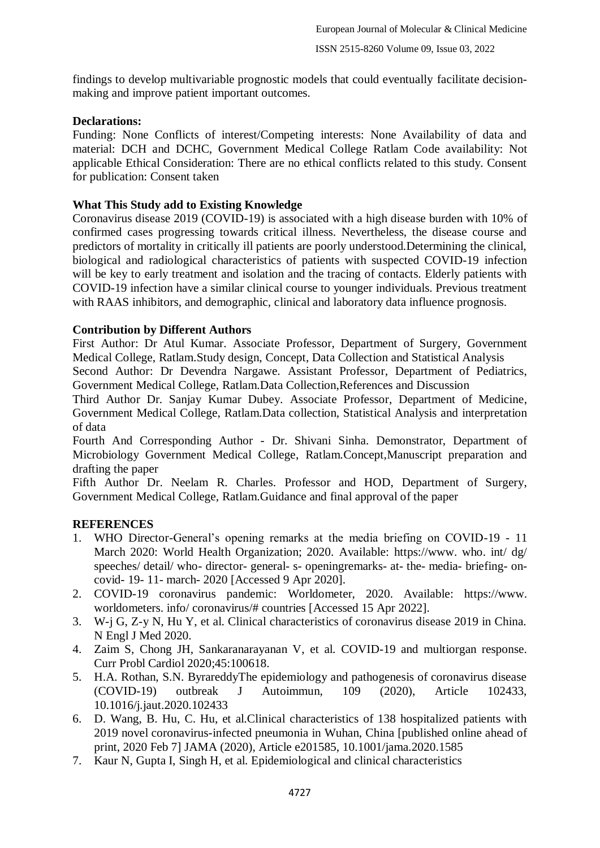findings to develop multivariable prognostic models that could eventually facilitate decisionmaking and improve patient important outcomes.

## **Declarations:**

Funding: None Conflicts of interest/Competing interests: None Availability of data and material: DCH and DCHC, Government Medical College Ratlam Code availability: Not applicable Ethical Consideration: There are no ethical conflicts related to this study. Consent for publication: Consent taken

# **What This Study add to Existing Knowledge**

Coronavirus disease 2019 (COVID-19) is associated with a high disease burden with 10% of confirmed cases progressing towards critical illness. Nevertheless, the disease course and predictors of mortality in critically ill patients are poorly understood.Determining the clinical, biological and radiological characteristics of patients with suspected COVID-19 infection will be key to early treatment and isolation and the tracing of contacts. Elderly patients with COVID-19 infection have a similar clinical course to younger individuals. Previous treatment with RAAS inhibitors, and demographic, clinical and laboratory data influence prognosis.

## **Contribution by Different Authors**

First Author: Dr Atul Kumar. Associate Professor, Department of Surgery, Government Medical College, Ratlam.Study design, Concept, Data Collection and Statistical Analysis

Second Author: Dr Devendra Nargawe. Assistant Professor, Department of Pediatrics, Government Medical College, Ratlam.Data Collection,References and Discussion

Third Author Dr. Sanjay Kumar Dubey. Associate Professor, Department of Medicine, Government Medical College, Ratlam.Data collection, Statistical Analysis and interpretation of data

Fourth And Corresponding Author - Dr. Shivani Sinha. Demonstrator, Department of Microbiology Government Medical College, Ratlam.Concept,Manuscript preparation and drafting the paper

Fifth Author Dr. Neelam R. Charles. Professor and HOD, Department of Surgery, Government Medical College, Ratlam.Guidance and final approval of the paper

# **REFERENCES**

- 1. WHO Director-General's opening remarks at the media briefing on COVID-19 11 March 2020: World Health Organization; 2020. Available: https://www. who. int/ dg/ speeches/ detail/ who- director- general- s- openingremarks- at- the- media- briefing- oncovid- 19- 11- march- 2020 [Accessed 9 Apr 2020].
- 2. COVID-19 coronavirus pandemic: Worldometer, 2020. Available: https://www. worldometers. info/ coronavirus/# countries [Accessed 15 Apr 2022].
- 3. W-j G, Z-y N, Hu Y, et al. Clinical characteristics of coronavirus disease 2019 in China. N Engl J Med 2020.
- 4. Zaim S, Chong JH, Sankaranarayanan V, et al. COVID-19 and multiorgan response. Curr Probl Cardiol 2020;45:100618.
- 5. H.A. Rothan, S.N. ByrareddyThe epidemiology and pathogenesis of coronavirus disease (COVID-19) outbreak J Autoimmun, 109 (2020), Article 102433, 10.1016/j.jaut.2020.102433
- 6. D. Wang, B. Hu, C. Hu, et al.Clinical characteristics of 138 hospitalized patients with 2019 novel coronavirus-infected pneumonia in Wuhan, China [published online ahead of print, 2020 Feb 7] JAMA (2020), Article e201585, 10.1001/jama.2020.1585
- 7. Kaur N, Gupta I, Singh H, et al. Epidemiological and clinical characteristics